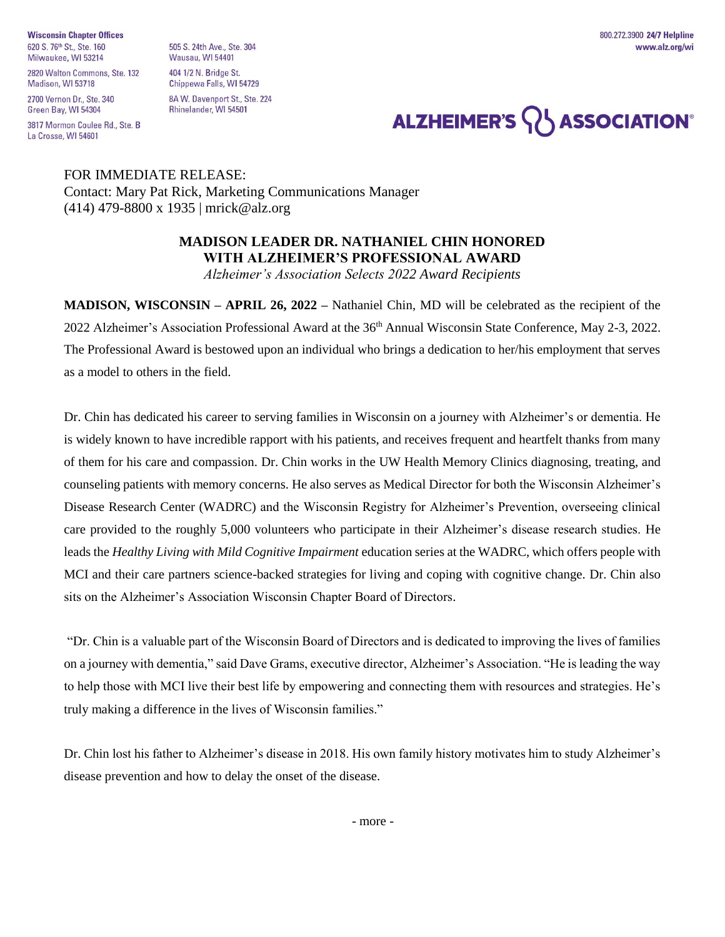**Wisconsin Chapter Offices** 620 S. 76th St., Ste. 160 Milwaukee, WI 53214

2820 Walton Commons, Ste. 132 Madison, WI 53718

2700 Vernon Dr., Ste. 340 Green Bay, WI 54304

3817 Mormon Coulee Rd., Ste. B La Crosse, WI 54601

505 S. 24th Ave., Ste. 304 Wausau, WI 54401 404 1/2 N. Bridge St. Chippewa Falls, WI 54729 8A W. Davenport St., Ste. 224 Rhinelander, WI 54501

## ALZHEIMER'S **WAS** ASSOCIATION<sup>®</sup>

FOR IMMEDIATE RELEASE: Contact: Mary Pat Rick, Marketing Communications Manager (414) 479-8800 x 1935 | mrick@alz.org

## **MADISON LEADER DR. NATHANIEL CHIN HONORED WITH ALZHEIMER'S PROFESSIONAL AWARD**

*Alzheimer's Association Selects 2022 Award Recipients*

**MADISON, WISCONSIN – APRIL 26, 2022 –** Nathaniel Chin, MD will be celebrated as the recipient of the 2022 Alzheimer's Association Professional Award at the 36<sup>th</sup> Annual Wisconsin State Conference, May 2-3, 2022. The Professional Award is bestowed upon an individual who brings a dedication to her/his employment that serves as a model to others in the field.

Dr. Chin has dedicated his career to serving families in Wisconsin on a journey with Alzheimer's or dementia. He is widely known to have incredible rapport with his patients, and receives frequent and heartfelt thanks from many of them for his care and compassion. Dr. Chin works in the UW Health Memory Clinics diagnosing, treating, and counseling patients with memory concerns. He also serves as Medical Director for both the Wisconsin Alzheimer's Disease Research Center (WADRC) and the Wisconsin Registry for Alzheimer's Prevention, overseeing clinical care provided to the roughly 5,000 volunteers who participate in their Alzheimer's disease research studies. He leads the *Healthy Living with Mild Cognitive Impairment* education series at the WADRC, which offers people with MCI and their care partners science-backed strategies for living and coping with cognitive change. Dr. Chin also sits on the Alzheimer's Association Wisconsin Chapter Board of Directors.

"Dr. Chin is a valuable part of the Wisconsin Board of Directors and is dedicated to improving the lives of families on a journey with dementia," said Dave Grams, executive director, Alzheimer's Association. "He is leading the way to help those with MCI live their best life by empowering and connecting them with resources and strategies. He's truly making a difference in the lives of Wisconsin families."

Dr. Chin lost his father to Alzheimer's disease in 2018. His own family history motivates him to study Alzheimer's disease prevention and how to delay the onset of the disease.